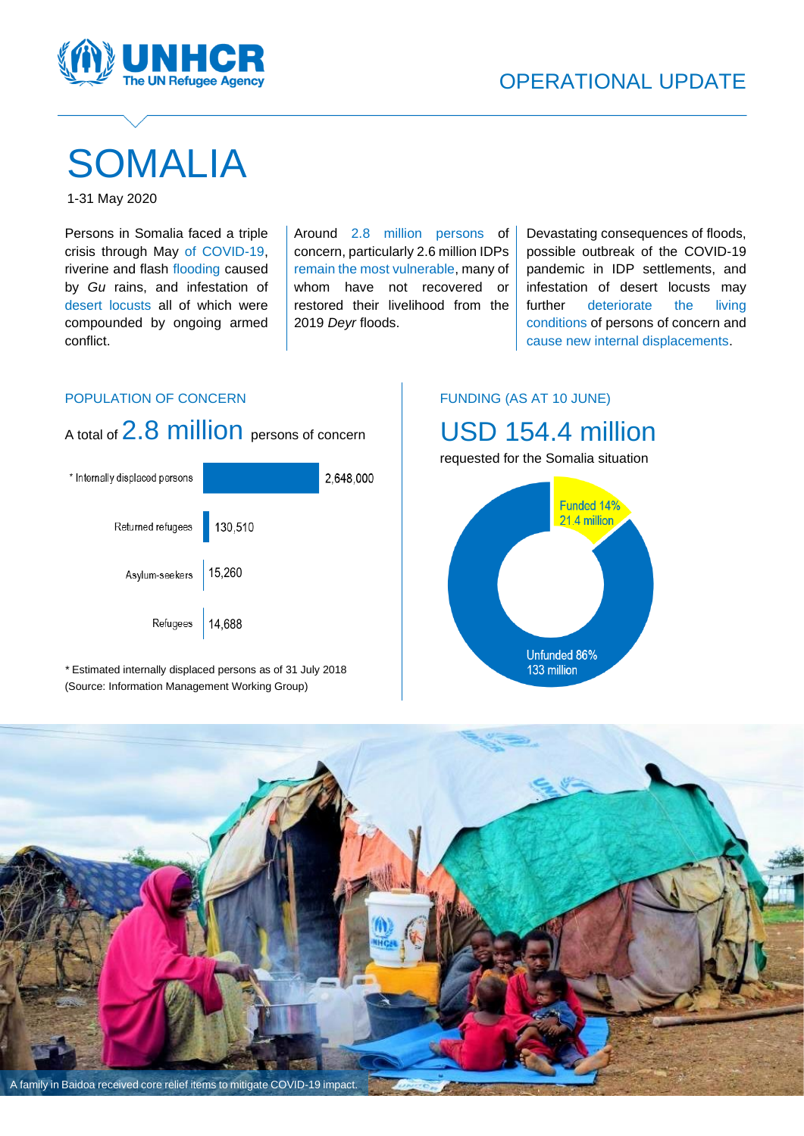

# SOMALIA

1-31 May 2020

Persons in Somalia faced a triple crisis through May of COVID-19, riverine and flash flooding caused by *Gu* rains, and infestation of desert locusts all of which were compounded by ongoing armed conflict.

Around 2.8 million persons of concern, particularly 2.6 million IDPs remain the most vulnerable, many of whom have not recovered or restored their livelihood from the 2019 *Deyr* floods.

Devastating consequences of floods, possible outbreak of the COVID-19 pandemic in IDP settlements, and infestation of desert locusts may further deteriorate the living conditions of persons of concern and cause new internal displacements.

## POPULATION OF CONCERN



*\** Estimated internally displaced persons as of 31 July 2018 (Source: Information Management Working Group)

## FUNDING (AS AT 10 JUNE)

# USD 154.4 million



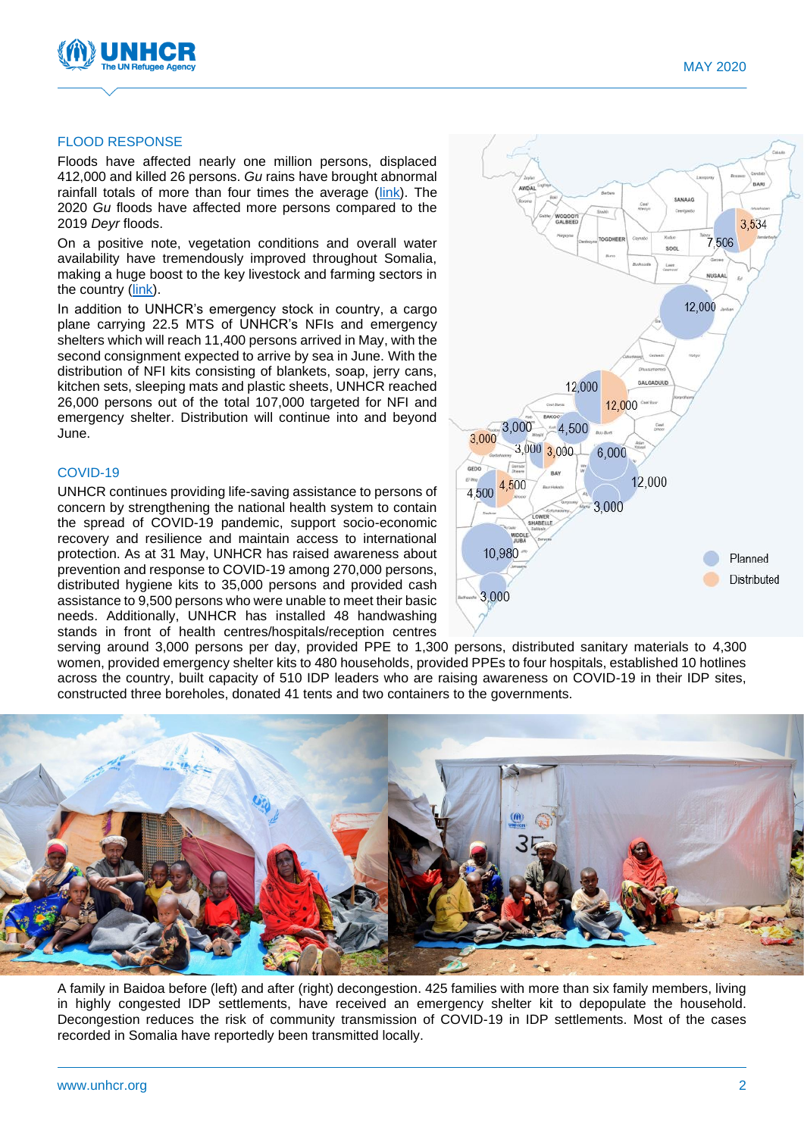

#### FLOOD RESPONSE

Floods have affected nearly one million persons, displaced 412,000 and killed 26 persons. *Gu* rains have brought abnormal rainfall totals of more than four times the average [\(link\)](https://fews.net/sites/default/files/documents/reports/Global%20Weather%20Hazards-05.22.2020.pdf). The 2020 *Gu* floods have affected more persons compared to the 2019 *Deyr* floods.

On a positive note, vegetation conditions and overall water availability have tremendously improved throughout Somalia, making a huge boost to the key livestock and farming sectors in the country [\(link\)](https://reliefweb.int/sites/reliefweb.int/files/resources/Flash%20Update%206%20-%20final%20eoo.pdf).

In addition to UNHCR's emergency stock in country, a cargo plane carrying 22.5 MTS of UNHCR's NFIs and emergency shelters which will reach 11,400 persons arrived in May, with the second consignment expected to arrive by sea in June. With the distribution of NFI kits consisting of blankets, soap, jerry cans, kitchen sets, sleeping mats and plastic sheets, UNHCR reached 26,000 persons out of the total 107,000 targeted for NFI and emergency shelter. Distribution will continue into and beyond June.

#### COVID-19

UNHCR continues providing life-saving assistance to persons of concern by strengthening the national health system to contain the spread of COVID-19 pandemic, support socio-economic recovery and resilience and maintain access to international protection. As at 31 May, UNHCR has raised awareness about prevention and response to COVID-19 among 270,000 persons, distributed hygiene kits to 35,000 persons and provided cash assistance to 9,500 persons who were unable to meet their basic needs. Additionally, UNHCR has installed 48 handwashing stands in front of health centres/hospitals/reception centres



serving around 3,000 persons per day, provided PPE to 1,300 persons, distributed sanitary materials to 4,300 women, provided emergency shelter kits to 480 households, provided PPEs to four hospitals, established 10 hotlines across the country, built capacity of 510 IDP leaders who are raising awareness on COVID-19 in their IDP sites, constructed three boreholes, donated 41 tents and two containers to the governments.



A family in Baidoa before (left) and after (right) decongestion. 425 families with more than six family members, living in highly congested IDP settlements, have received an emergency shelter kit to depopulate the household. Decongestion reduces the risk of community transmission of COVID-19 in IDP settlements. Most of the cases recorded in Somalia have reportedly been transmitted locally.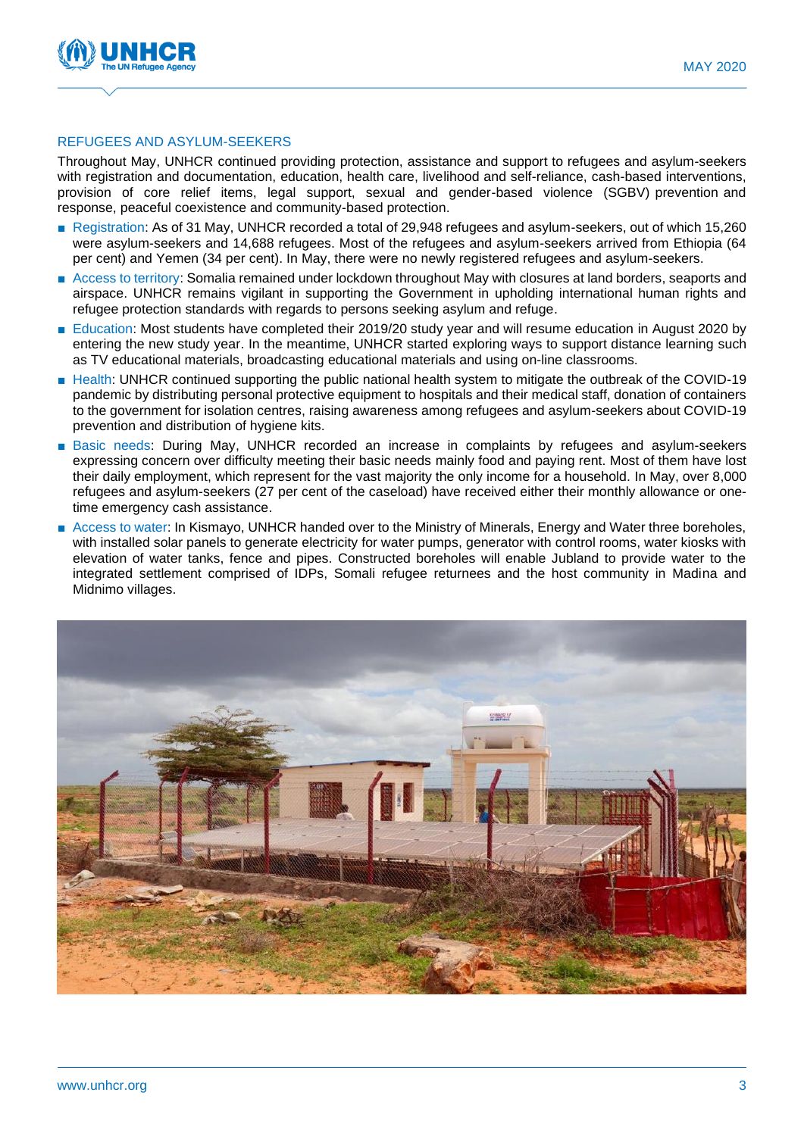

#### REFUGEES AND ASYLUM-SEEKERS

Throughout May, UNHCR continued providing protection, assistance and support to refugees and asylum-seekers with registration and documentation, education, health care, livelihood and self-reliance, cash-based interventions, provision of core relief items, legal support, sexual and gender-based violence (SGBV) prevention and response, peaceful coexistence and community-based protection.

- Registration: As of 31 May, UNHCR recorded a total of 29,948 refugees and asylum-seekers, out of which 15,260 were asylum-seekers and 14,688 refugees. Most of the refugees and asylum-seekers arrived from Ethiopia (64 per cent) and Yemen (34 per cent). In May, there were no newly registered refugees and asylum-seekers.
- Access to territory: Somalia remained under lockdown throughout May with closures at land borders, seaports and airspace. UNHCR remains vigilant in supporting the Government in upholding international human rights and refugee protection standards with regards to persons seeking asylum and refuge.
- Education: Most students have completed their 2019/20 study year and will resume education in August 2020 by entering the new study year. In the meantime, UNHCR started exploring ways to support distance learning such as TV educational materials, broadcasting educational materials and using on-line classrooms.
- Health: UNHCR continued supporting the public national health system to mitigate the outbreak of the COVID-19 pandemic by distributing personal protective equipment to hospitals and their medical staff, donation of containers to the government for isolation centres, raising awareness among refugees and asylum-seekers about COVID-19 prevention and distribution of hygiene kits.
- Basic needs: During May, UNHCR recorded an increase in complaints by refugees and asylum-seekers expressing concern over difficulty meeting their basic needs mainly food and paying rent. Most of them have lost their daily employment, which represent for the vast majority the only income for a household. In May, over 8,000 refugees and asylum-seekers (27 per cent of the caseload) have received either their monthly allowance or onetime emergency cash assistance.
- Access to water: In Kismayo, UNHCR handed over to the Ministry of Minerals, Energy and Water three boreholes, with installed solar panels to generate electricity for water pumps, generator with control rooms, water kiosks with elevation of water tanks, fence and pipes. Constructed boreholes will enable Jubland to provide water to the integrated settlement comprised of IDPs, Somali refugee returnees and the host community in Madina and Midnimo villages.

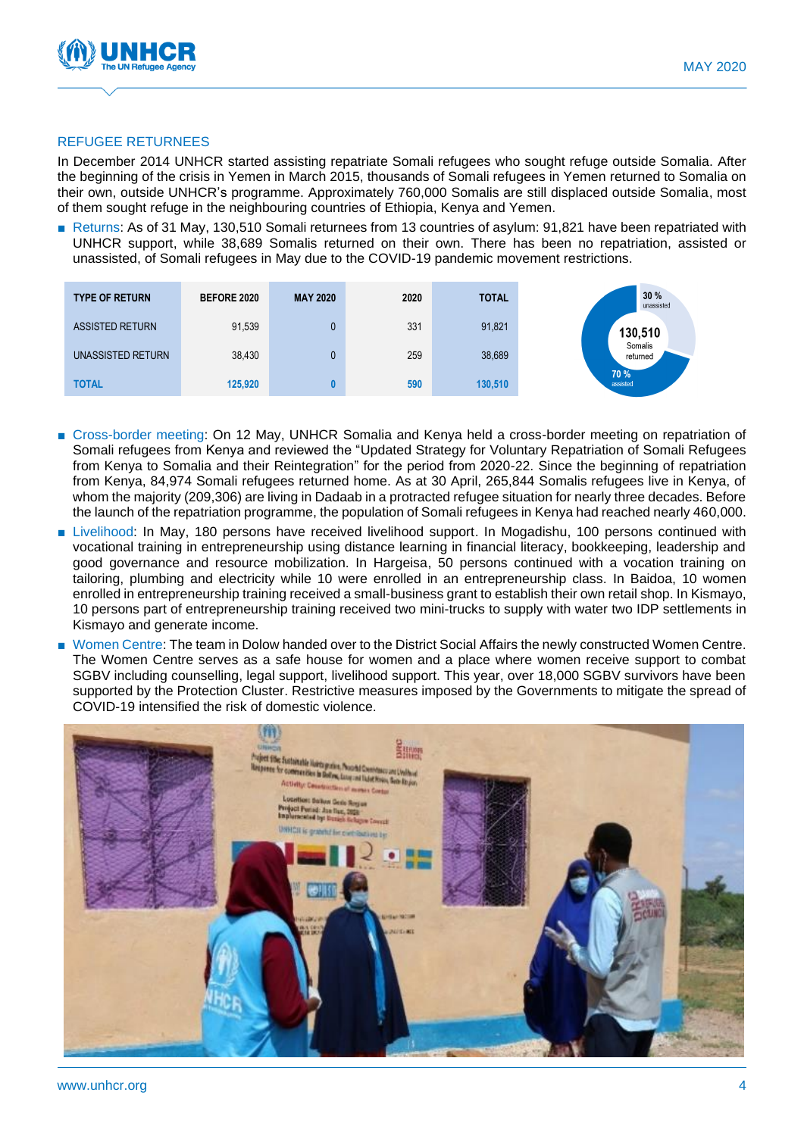

#### REFUGEE RETURNEES

In December 2014 UNHCR started assisting repatriate Somali refugees who sought refuge outside Somalia. After the beginning of the crisis in Yemen in March 2015, thousands of Somali refugees in Yemen returned to Somalia on their own, outside UNHCR's programme. Approximately 760,000 Somalis are still displaced outside Somalia, most of them sought refuge in the neighbouring countries of Ethiopia, Kenya and Yemen.

■ Returns: As of 31 May, 130,510 Somali returnees from 13 countries of asylum: 91,821 have been repatriated with UNHCR support, while 38,689 Somalis returned on their own. There has been no repatriation, assisted or unassisted, of Somali refugees in May due to the COVID-19 pandemic movement restrictions.

| <b>TYPE OF RETURN</b>  | <b>BEFORE 2020</b> | <b>MAY 2020</b> | 2020 | <b>TOTAL</b> | 30%<br>unassisted   |
|------------------------|--------------------|-----------------|------|--------------|---------------------|
| <b>ASSISTED RETURN</b> | 91,539             | U               | 331  | 91,821       | 130,510             |
| UNASSISTED RETURN      | 38,430             | U               | 259  | 38,689       | Somalis<br>returned |
| <b>TOTAL</b>           | 125,920            |                 | 590  | 130,510      | 70 %<br>assisted    |

- Cross-border meeting: On 12 May, UNHCR Somalia and Kenya held a cross-border meeting on repatriation of Somali refugees from Kenya and reviewed the "Updated Strategy for Voluntary Repatriation of Somali Refugees from Kenya to Somalia and their Reintegration" for the period from 2020-22. Since the beginning of repatriation from Kenya, 84,974 Somali refugees returned home. As at 30 April, 265,844 Somalis refugees live in Kenya, of whom the majority (209,306) are living in Dadaab in a protracted refugee situation for nearly three decades. Before the launch of the repatriation programme, the population of Somali refugees in Kenya had reached nearly 460,000.
- Livelihood: In May, 180 persons have received livelihood support. In Mogadishu, 100 persons continued with vocational training in entrepreneurship using distance learning in financial literacy, bookkeeping, leadership and good governance and resource mobilization. In Hargeisa, 50 persons continued with a vocation training on tailoring, plumbing and electricity while 10 were enrolled in an entrepreneurship class. In Baidoa, 10 women enrolled in entrepreneurship training received a small-business grant to establish their own retail shop. In Kismayo, 10 persons part of entrepreneurship training received two mini-trucks to supply with water two IDP settlements in Kismayo and generate income.
- Women Centre: The team in Dolow handed over to the District Social Affairs the newly constructed Women Centre. The Women Centre serves as a safe house for women and a place where women receive support to combat SGBV including counselling, legal support, livelihood support. This year, over 18,000 SGBV survivors have been supported by the Protection Cluster. Restrictive measures imposed by the Governments to mitigate the spread of COVID-19 intensified the risk of domestic violence.

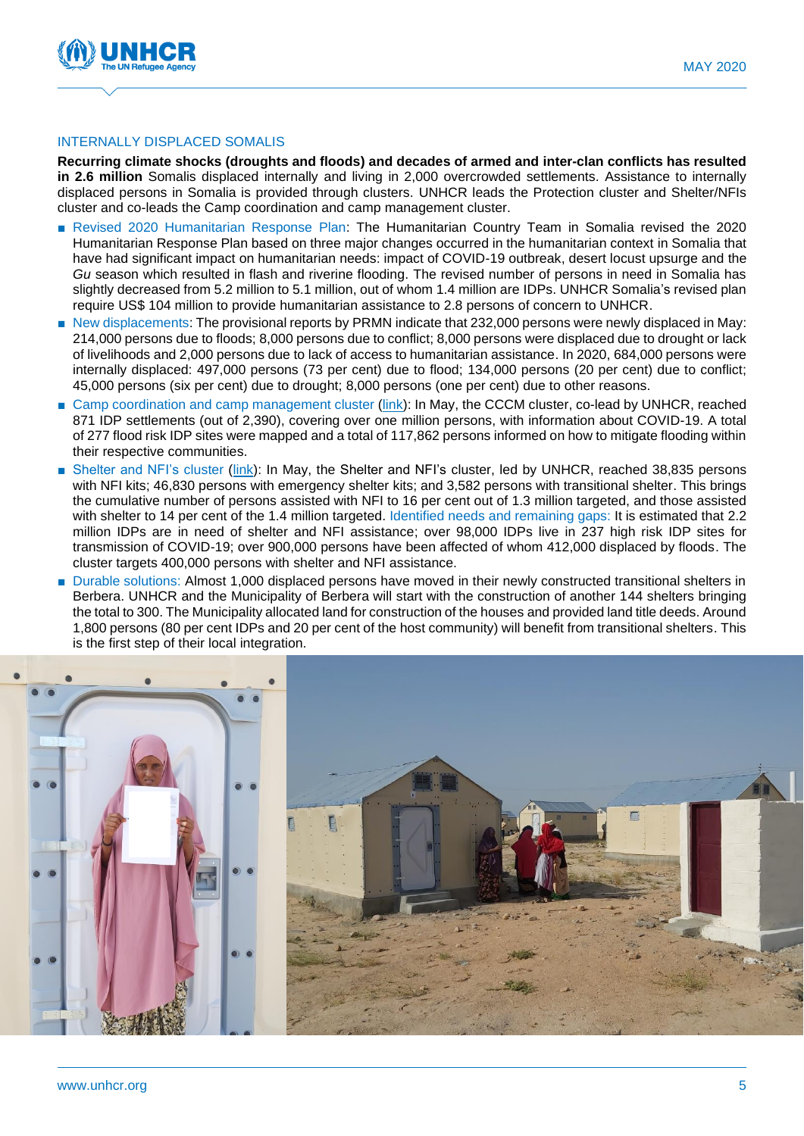

#### INTERNALLY DISPLACED SOMALIS

**Recurring climate shocks (droughts and floods) and decades of armed and inter-clan conflicts has resulted in 2.6 million** Somalis displaced internally and living in 2,000 overcrowded settlements. Assistance to internally displaced persons in Somalia is provided through clusters. UNHCR leads the Protection cluster and Shelter/NFIs cluster and co-leads the Camp coordination and camp management cluster.

- Revised 2020 Humanitarian Response Plan: The Humanitarian Country Team in Somalia revised the 2020 Humanitarian Response Plan based on three major changes occurred in the humanitarian context in Somalia that have had significant impact on humanitarian needs: impact of COVID-19 outbreak, desert locust upsurge and the *Gu* season which resulted in flash and riverine flooding. The revised number of persons in need in Somalia has slightly decreased from 5.2 million to 5.1 million, out of whom 1.4 million are IDPs. UNHCR Somalia's revised plan require US\$ 104 million to provide humanitarian assistance to 2.8 persons of concern to UNHCR.
- New displacements: The provisional reports by PRMN indicate that 232,000 persons were newly displaced in May: 214,000 persons due to floods; 8,000 persons due to conflict; 8,000 persons were displaced due to drought or lack of livelihoods and 2,000 persons due to lack of access to humanitarian assistance. In 2020, 684,000 persons were internally displaced: 497,000 persons (73 per cent) due to flood; 134,000 persons (20 per cent) due to conflict; 45,000 persons (six per cent) due to drought; 8,000 persons (one per cent) due to other reasons.
- Camp coordination and camp management cluster [\(link\)](https://data2.unhcr.org/en/documents/download/77065): In May, the CCCM cluster, co-lead by UNHCR, reached 871 IDP settlements (out of 2,390), covering over one million persons, with information about COVID-19. A total of 277 flood risk IDP sites were mapped and a total of 117,862 persons informed on how to mitigate flooding within their respective communities.
- Shelter and NFI's cluster [\(link\)](https://eur02.safelinks.protection.outlook.com/?url=https%3A%2F%2Fwww.sheltercluster.org%2Fsomalia%2Fdocuments%2Fsomalia-sc-factsheet-may-2020&data=02%7C01%7CPONGRAC%40unhcr.org%7Ca4605e9eb6714377967c08d811336562%7Ce5c37981666441348a0c6543d2af80be%7C0%7C0%7C637278259732191929&sdata=1nOMlSBO0%2B9RdnA64PP5zhAca04Im856jVvxObK2QfE%3D&reserved=0): In May, the Shelter and NFI's cluster, led by UNHCR, reached 38,835 persons with NFI kits; 46,830 persons with emergency shelter kits; and 3,582 persons with transitional shelter. This brings the cumulative number of persons assisted with NFI to 16 per cent out of 1.3 million targeted, and those assisted with shelter to 14 per cent of the 1.4 million targeted. Identified needs and remaining gaps: It is estimated that 2.2 million IDPs are in need of shelter and NFI assistance; over 98,000 IDPs live in 237 high risk IDP sites for transmission of COVID-19; over 900,000 persons have been affected of whom 412,000 displaced by floods. The cluster targets 400,000 persons with shelter and NFI assistance.
- Durable solutions: Almost 1,000 displaced persons have moved in their newly constructed transitional shelters in Berbera. UNHCR and the Municipality of Berbera will start with the construction of another 144 shelters bringing the total to 300. The Municipality allocated land for construction of the houses and provided land title deeds. Around 1,800 persons (80 per cent IDPs and 20 per cent of the host community) will benefit from transitional shelters. This is the first step of their local integration.